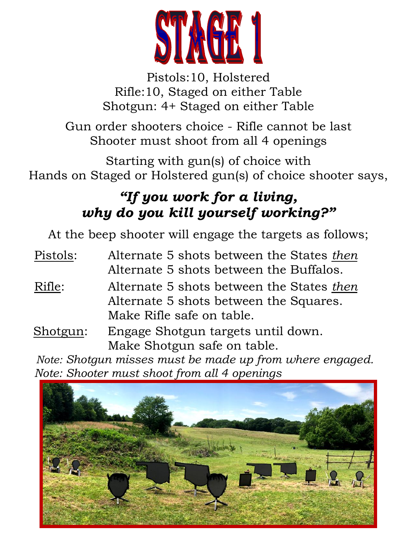

Pistols:10, Holstered Rifle:10, Staged on either Table Shotgun: 4+ Staged on either Table

Gun order shooters choice - Rifle cannot be last Shooter must shoot from all 4 openings

Starting with gun(s) of choice with Hands on Staged or Holstered gun(s) of choice shooter says,

# *"If you work for a living, why do you kill yourself working?"*

At the beep shooter will engage the targets as follows;

Pistols: Alternate 5 shots between the States *then* Alternate 5 shots between the Buffalos. Rifle: Alternate 5 shots between the States *then* Alternate 5 shots between the Squares. Make Rifle safe on table. Shotgun: Engage Shotgun targets until down. Make Shotgun safe on table.

 *Note: Shotgun misses must be made up from where engaged. Note: Shooter must shoot from all 4 openings*

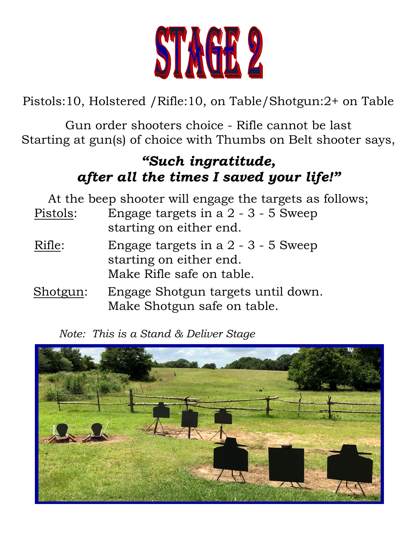

Pistols:10, Holstered /Rifle:10, on Table/Shotgun:2+ on Table

Gun order shooters choice - Rifle cannot be last Starting at gun(s) of choice with Thumbs on Belt shooter says,

## *"Such ingratitude, after all the times I saved your life!"*

| At the beep shooter will engage the targets as follows; |                                                                                               |  |
|---------------------------------------------------------|-----------------------------------------------------------------------------------------------|--|
| Pistols:                                                | Engage targets in a 2 - 3 - 5 Sweep<br>starting on either end.                                |  |
| Rifle:                                                  | Engage targets in a $2 - 3 - 5$ Sweep<br>starting on either end.<br>Make Rifle safe on table. |  |
| Shotgun:                                                | Engage Shotgun targets until down.<br>Make Shotgun safe on table.                             |  |

*Note: This is a Stand & Deliver Stage*

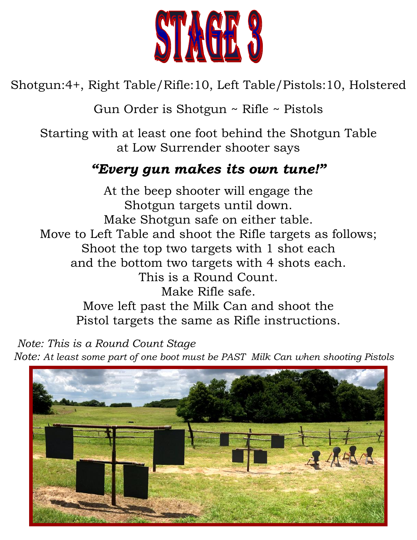

Shotgun:4+, Right Table/Rifle:10, Left Table/Pistols:10, Holstered

Gun Order is Shotgun ~ Rifle ~ Pistols

Starting with at least one foot behind the Shotgun Table at Low Surrender shooter says

### *"Every gun makes its own tune!"*

At the beep shooter will engage the Shotgun targets until down. Make Shotgun safe on either table. Move to Left Table and shoot the Rifle targets as follows; Shoot the top two targets with 1 shot each and the bottom two targets with 4 shots each. This is a Round Count. Make Rifle safe. Move left past the Milk Can and shoot the Pistol targets the same as Rifle instructions.

 *Note: This is a Round Count Stage* 

*Note: At least some part of one boot must be PAST Milk Can when shooting Pistols*

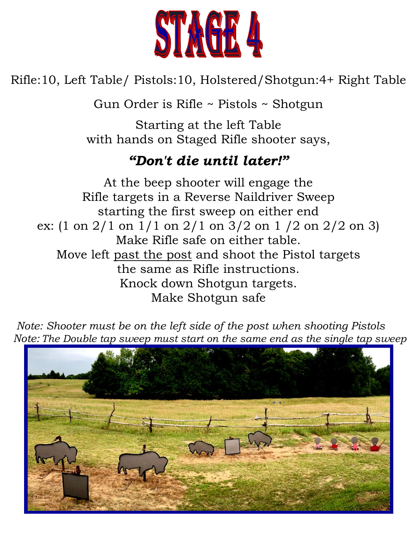

Rifle:10, Left Table/ Pistols:10, Holstered/Shotgun:4+ Right Table

Gun Order is Rifle ~ Pistols ~ Shotgun

Starting at the left Table with hands on Staged Rifle shooter says,

### *"Don't die until later!"*

At the beep shooter will engage the Rifle targets in a Reverse Naildriver Sweep starting the first sweep on either end ex: (1 on 2/1 on 1/1 on 2/1 on 3/2 on 1 /2 on 2/2 on 3) Make Rifle safe on either table. Move left past the post and shoot the Pistol targets the same as Rifle instructions. Knock down Shotgun targets. Make Shotgun safe

 *Note: Shooter must be on the left side of the post when shooting Pistols Note: The Double tap sweep must start on the same end as the single tap sweep*

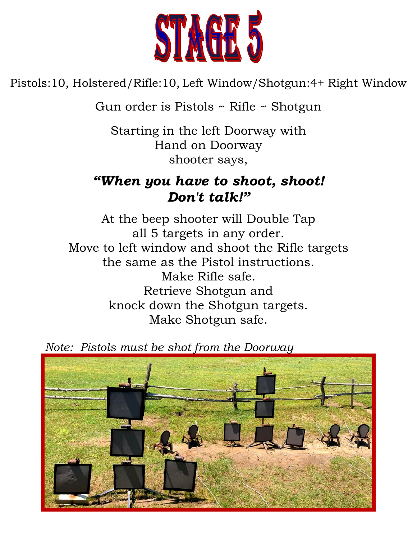

Pistols:10, Holstered/Rifle:10, Left Window/Shotgun:4+ Right Window

Gun order is Pistols ~ Rifle ~ Shotgun

Starting in the left Doorway with Hand on Doorway shooter says,

### *"When you have to shoot, shoot! Don't talk!"*

At the beep shooter will Double Tap all 5 targets in any order. Move to left window and shoot the Rifle targets the same as the Pistol instructions. Make Rifle safe. Retrieve Shotgun and knock down the Shotgun targets. Make Shotgun safe.

 *Note: Pistols must be shot from the Doorway*